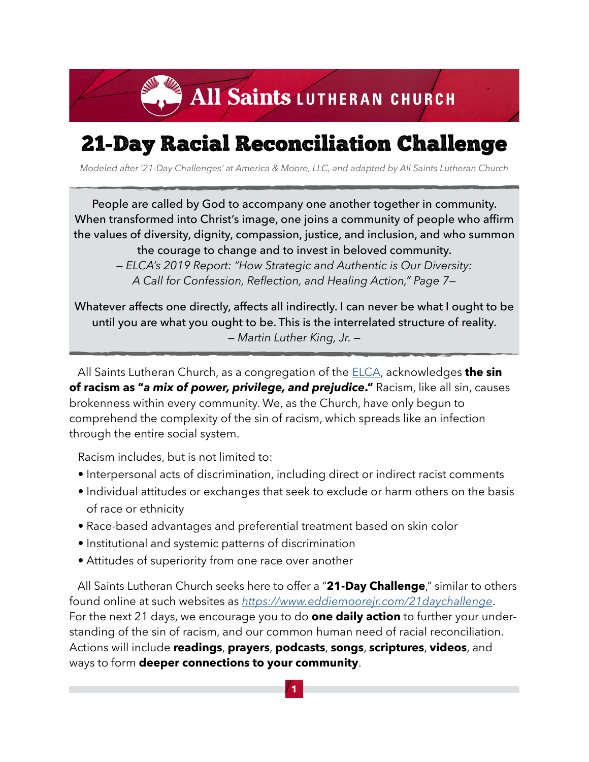### 21-Day Racial Reconciliation Challenge

*Modeled after '21-Day Challenges' at America & Moore, LLC, and adapted by All Saints Lutheran Church*

People are called by God to accompany one another together in community. When transformed into Christ's image, one joins a community of people who affirm the values of diversity, dignity, compassion, justice, and inclusion, and who summon the courage to change and to invest in beloved community.

*— ELCA's 2019 Report: "How Strategic and Authentic is Our Diversity: A Call for Confession, Reflection, and Healing Action," Page 7—*

Whatever affects one directly, affects all indirectly. I can never be what I ought to be until you are what you ought to be. This is the interrelated structure of reality. *— Martin Luther King, Jr. —*

 All Saints Lutheran Church, as a congregation of the [ELCA,](https://www.elca.org) acknowledges **the sin of racism as "***a mix of power, privilege, and prejudice***."** Racism, like all sin, causes brokenness within every community. We, as the Church, have only begun to comprehend the complexity of the sin of racism, which spreads like an infection through the entire social system.

Racism includes, but is not limited to:

- Interpersonal acts of discrimination, including direct or indirect racist comments
- Individual attitudes or exchanges that seek to exclude or harm others on the basis of race or ethnicity
- Race-based advantages and preferential treatment based on skin color
- Institutional and systemic patterns of discrimination
- Attitudes of superiority from one race over another

 All Saints Lutheran Church seeks here to offer a "**21-Day Challenge**," similar to others found online at such websites as *<https://www.eddiemoorejr.com/21daychallenge>*. For the next 21 days, we encourage you to do **one daily action** to further your understanding of the sin of racism, and our common human need of racial reconciliation. Actions will include **readings**, **prayers**, **podcasts**, **songs**, **scriptures**, **videos**, and ways to form **deeper connections to your community**.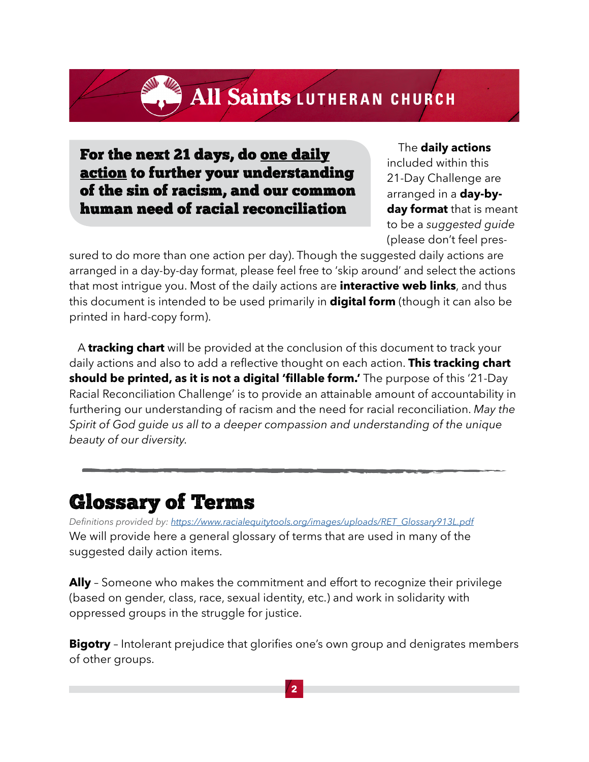For the next 21 days, do one daily action to further your understanding of the sin of racism, and our common human need of racial reconciliation

 The **daily actions** included within this 21-Day Challenge are arranged in a **day-byday format** that is meant to be a *suggested guide* (please don't feel pres-

sured to do more than one action per day). Though the suggested daily actions are arranged in a day-by-day format, please feel free to 'skip around' and select the actions that most intrigue you. Most of the daily actions are **interactive web links**, and thus this document is intended to be used primarily in **digital form** (though it can also be printed in hard-copy form).

 A **tracking chart** will be provided at the conclusion of this document to track your daily actions and also to add a reflective thought on each action. **This tracking chart should be printed, as it is not a digital 'fillable form.'** The purpose of this '21-Day Racial Reconciliation Challenge' is to provide an attainable amount of accountability in furthering our understanding of racism and the need for racial reconciliation. *May the Spirit of God guide us all to a deeper compassion and understanding of the unique beauty of our diversity.*

#### Glossary of Terms

*Definitions provided by: [https://www.racialequitytools.org/images/uploads/RET\\_Glossary913L.pdf](https://www.racialequitytools.org/images/uploads/RET_Glossary913L.pdf)* We will provide here a general glossary of terms that are used in many of the suggested daily action items.

**Ally** – Someone who makes the commitment and effort to recognize their privilege (based on gender, class, race, sexual identity, etc.) and work in solidarity with oppressed groups in the struggle for justice.

**Bigotry** - Intolerant prejudice that glorifies one's own group and denigrates members of other groups.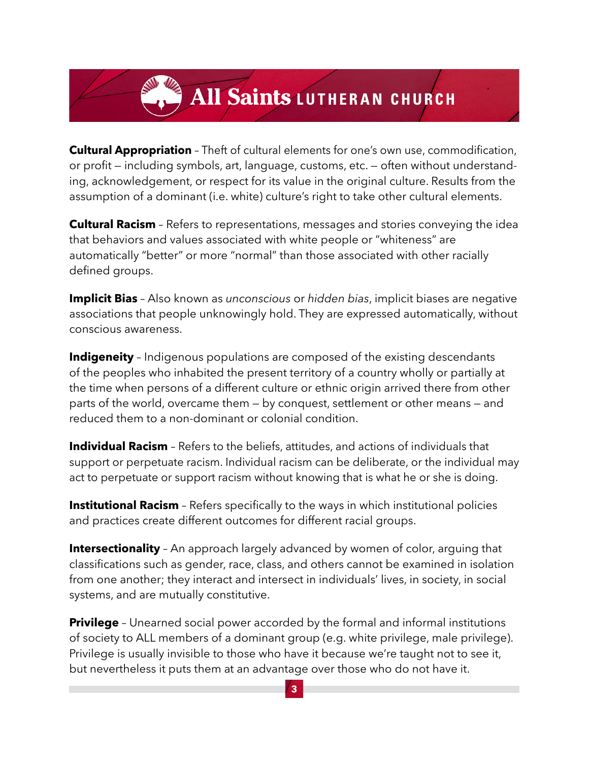**Cultural Appropriation** – Theft of cultural elements for one's own use, commodification, or profit — including symbols, art, language, customs, etc. — often without understanding, acknowledgement, or respect for its value in the original culture. Results from the assumption of a dominant (i.e. white) culture's right to take other cultural elements.

**Cultural Racism** – Refers to representations, messages and stories conveying the idea that behaviors and values associated with white people or "whiteness" are automatically "better" or more "normal" than those associated with other racially defined groups.

**Implicit Bias** – Also known as *unconscious* or *hidden bias*, implicit biases are negative associations that people unknowingly hold. They are expressed automatically, without conscious awareness.

**Indigeneity** – Indigenous populations are composed of the existing descendants of the peoples who inhabited the present territory of a country wholly or partially at the time when persons of a different culture or ethnic origin arrived there from other parts of the world, overcame them — by conquest, settlement or other means — and reduced them to a non-dominant or colonial condition.

**Individual Racism** - Refers to the beliefs, attitudes, and actions of individuals that support or perpetuate racism. Individual racism can be deliberate, or the individual may act to perpetuate or support racism without knowing that is what he or she is doing.

**Institutional Racism** - Refers specifically to the ways in which institutional policies and practices create different outcomes for different racial groups.

**Intersectionality** - An approach largely advanced by women of color, arguing that classifications such as gender, race, class, and others cannot be examined in isolation from one another; they interact and intersect in individuals' lives, in society, in social systems, and are mutually constitutive.

**Privilege** - Unearned social power accorded by the formal and informal institutions of society to ALL members of a dominant group (e.g. white privilege, male privilege). Privilege is usually invisible to those who have it because we're taught not to see it, but nevertheless it puts them at an advantage over those who do not have it.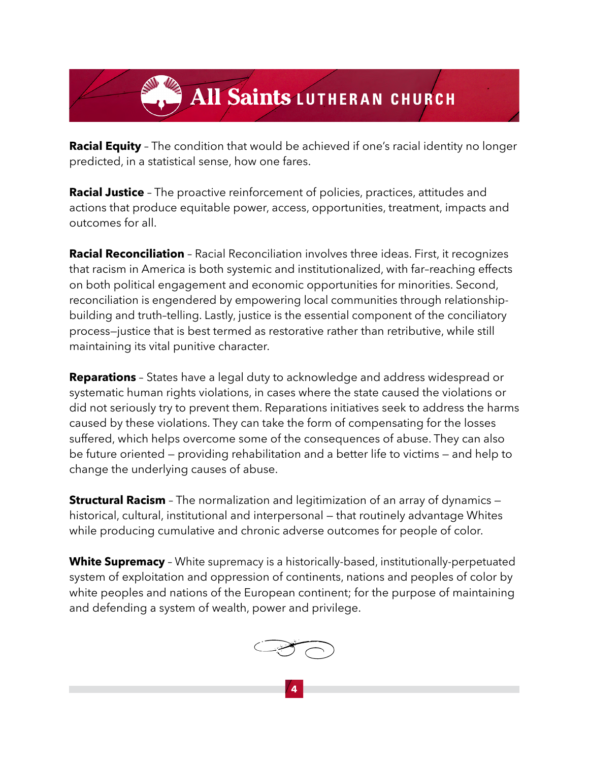**Racial Equity** - The condition that would be achieved if one's racial identity no longer predicted, in a statistical sense, how one fares.

**Racial Justice** – The proactive reinforcement of policies, practices, attitudes and actions that produce equitable power, access, opportunities, treatment, impacts and outcomes for all.

**Racial Reconciliation** – Racial Reconciliation involves three ideas. First, it recognizes that racism in America is both systemic and institutionalized, with far–reaching effects on both political engagement and economic opportunities for minorities. Second, reconciliation is engendered by empowering local communities through relationshipbuilding and truth–telling. Lastly, justice is the essential component of the conciliatory process—justice that is best termed as restorative rather than retributive, while still maintaining its vital punitive character.

**Reparations** – States have a legal duty to acknowledge and address widespread or systematic human rights violations, in cases where the state caused the violations or did not seriously try to prevent them. Reparations initiatives seek to address the harms caused by these violations. They can take the form of compensating for the losses suffered, which helps overcome some of the consequences of abuse. They can also be future oriented — providing rehabilitation and a better life to victims — and help to change the underlying causes of abuse.

**Structural Racism** – The normalization and legitimization of an array of dynamics – historical, cultural, institutional and interpersonal — that routinely advantage Whites while producing cumulative and chronic adverse outcomes for people of color.

**White Supremacy** – White supremacy is a historically-based, institutionally-perpetuated system of exploitation and oppression of continents, nations and peoples of color by white peoples and nations of the European continent; for the purpose of maintaining and defending a system of wealth, power and privilege.

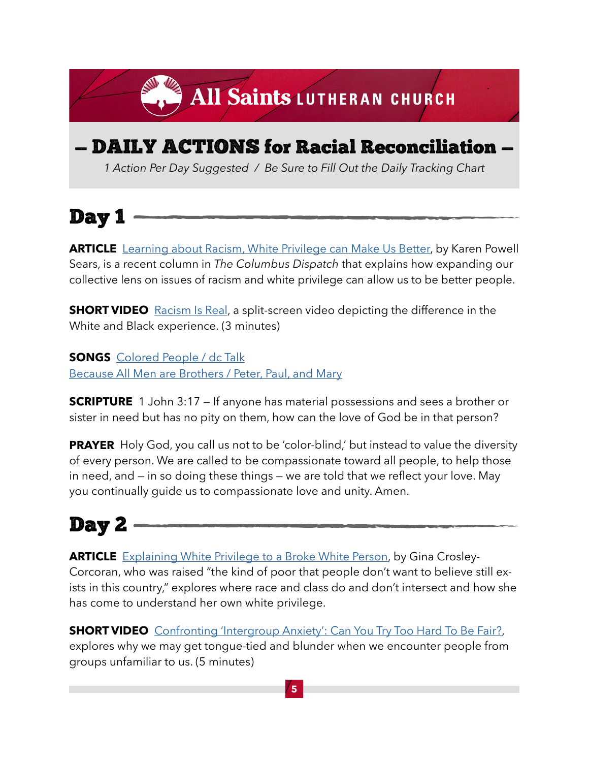### — DAILY ACTIONS for Racial Reconciliation —

All Saints LUTHERAN CHURCH

*1 Action Per Day Suggested / Be Sure to Fill Out the Daily Tracking Chart*

Day 1

**ARTICLE** [Learning about Racism, White Privilege can Make Us Better](https://www.dispatch.com/story/opinion/columns/2020/11/24/column-learning-racism-white-privilege-can-make-us-better/6388775002/), by Karen Powell Sears, is a recent column in *The Columbus Dispatch* that explains how expanding our collective lens on issues of racism and white privilege can allow us to be better people.

**SHORT VIDEO** [Racism Is Real,](https://www.vox.com/2015/4/30/8520305/systemic-racism-video) a split-screen video depicting the difference in the White and Black experience. (3 minutes)

**SONGS** [Colored People / dc Talk](https://www.youtube.com/watch?v=iM17qeIIIE4)  [Because All Men are Brothers / Peter, Paul, and Mary](https://www.youtube.com/watch?v=ITXCxwtXKwE&list=PLk6n90VAXJUa4uPIAP6xs5zBaxWC6C16D&index=44)

**SCRIPTURE** 1 John 3:17 – If anyone has material possessions and sees a brother or sister in need but has no pity on them, how can the love of God be in that person?

**PRAYER** Holy God, you call us not to be 'color-blind,' but instead to value the diversity of every person. We are called to be compassionate toward all people, to help those in need, and — in so doing these things — we are told that we reflect your love. May you continually guide us to compassionate love and unity. Amen.

### Day 2

**[ARTICLE](http://ARTICLE  )** [Explaining White Privilege to a Broke White Person](https://www.huffpost.com/entry/explaining-white-privilege-to-a-broke-white-person_b_5269255?utm_hp_ref=tw&guccounter=2), by Gina Crosley-Corcoran, who was raised "the kind of poor that people don't want to believe still exists in this country," explores where race and class do and don't intersect and how she has come to understand her own white privilege.

**SHORT VIDEO** [Confronting 'Intergroup Anxiety': Can You Try Too Hard To Be Fair?,](https://www.youtube.com/watch?v=UsBpGmUeAsI) explores why we may get tongue-tied and blunder when we encounter people from groups unfamiliar to us. (5 minutes)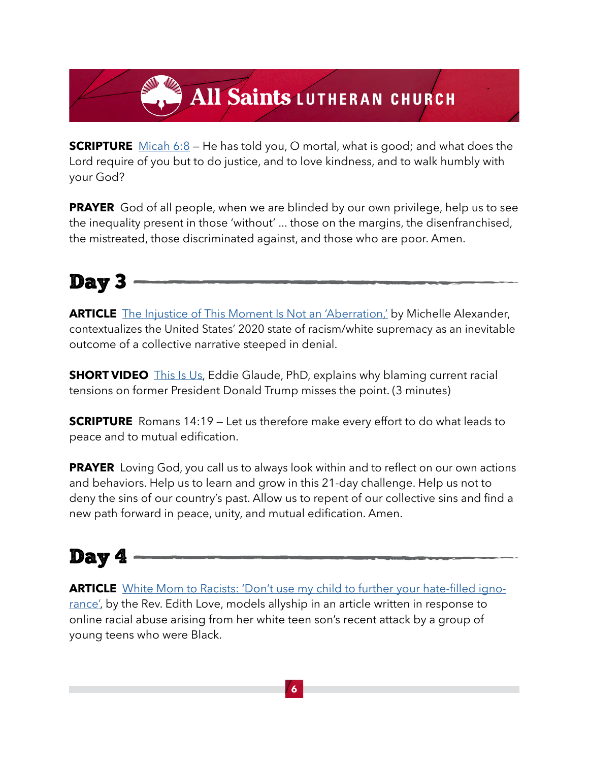**SCRIPTURE** [Micah 6:8](https://www.biblegateway.com/passage/?search=micah+6%3A8&version=NRSV) – He has told you, O mortal, what is good; and what does the Lord require of you but to do justice, and to love kindness, and to walk humbly with your God?

**PRAYER** God of all people, when we are blinded by our own privilege, help us to see the inequality present in those 'without' ... those on the margins, the disenfranchised, the mistreated, those discriminated against, and those who are poor. Amen.

#### Day 3

**[ARTICLE](http://ARTICLE  )** [The Injustice of This Moment Is Not an 'Aberration,'](https://www.nytimes.com/2020/01/17/opinion/sunday/michelle-alexander-new-jim-crow.html?smid=nytcore-ios-share) by Michelle Alexander, contextualizes the United States' 2020 state of racism/white supremacy as an inevitable outcome of a collective narrative steeped in denial.

**SHORT VIDEO** [This Is Us](https://www.youtube.com/watch?v=Fe94RTSMh2s&feature=emb_logo), Eddie Glaude, PhD, explains why blaming current racial tensions on former President Donald Trump misses the point. (3 minutes)

**SCRIPTURE** Romans 14:19 – Let us therefore make every effort to do what leads to peace and to mutual edification.

**PRAYER** Loving God, you call us to always look within and to reflect on our own actions and behaviors. Help us to learn and grow in this 21-day challenge. Help us not to deny the sins of our country's past. Allow us to repent of our collective sins and find a new path forward in peace, unity, and mutual edification. Amen.

### Day 4

**[ARTICLE](http://ARTICLE  )** [White Mom to Racists: 'Don't use my child to further your hate-filled igno](https://mlk50.com/2020/01/18/white-mom-to-racists-dont-use-my-child-to-further-your-hate-filled-ignorance/)[rance](https://mlk50.com/2020/01/18/white-mom-to-racists-dont-use-my-child-to-further-your-hate-filled-ignorance/)', by the Rev. Edith Love, models allyship in an article written in response to online racial abuse arising from her white teen son's recent attack by a group of young teens who were Black.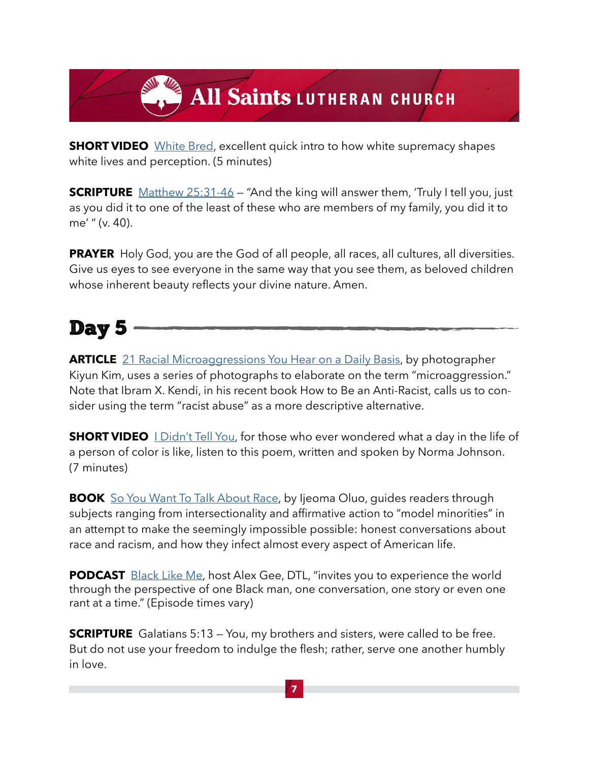**SHORT VIDEO** [White Bred](https://vimeo.com/226104095), excellent quick intro to how white supremacy shapes white lives and perception. (5 minutes)

**SCRIPTURE** [Matthew 25:31-46](https://www.biblegateway.com/passage/?search=Matthew+25%3A31-46&version=NRSV) – "And the king will answer them, 'Truly I tell you, just as you did it to one of the least of these who are members of my family, you did it to me' " (v. 40).

**PRAYER** Holy God, you are the God of all people, all races, all cultures, all diversities. Give us eyes to see everyone in the same way that you see them, as beloved children whose inherent beauty reflects your divine nature. Amen.

#### Day 5

**[ARTICLE](http://ARTICLE  )** [21 Racial Microaggressions You Hear on a Daily Basis](https://www.buzzfeed.com/hnigatu/racial-microagressions-you-hear-on-a-daily-basis?utm_term=.ni4bRwobgw#.gwyda5vde5), by photographer Kiyun Kim, uses a series of photographs to elaborate on the term "microaggression." Note that Ibram X. Kendi, in his recent book How to Be an Anti-Racist, calls us to consider using the term "racist abuse" as a more descriptive alternative.

**SHORTVIDEO** [I Didn't Tell You](https://www.youtube.com/watch?v=3UVIgjuovt8), for those who ever wondered what a day in the life of a person of color is like, listen to this poem, written and spoken by Norma Johnson. (7 minutes)

**BOOK**[So You Want To Talk About Race](https://www.amazon.com/You-Want-Talk-About-Race/dp/1580058825/ref=sr_1_3?crid=304KKHYQRS72U&dchild=1&keywords=so+you+want+to+talk+about+race&qid=1604933455&sprefix=so+you+want%2Caps%2C189&sr=8-3), by Ijeoma Oluo, guides readers through subjects ranging from intersectionality and affirmative action to "model minorities" in an attempt to make the seemingly impossible possible: honest conversations about race and racism, and how they infect almost every aspect of American life.

**PODCAST** [Black Like Me,](https://www.alexgee.com/category/blacklikeme/) host Alex Gee, DTL, "invites you to experience the world through the perspective of one Black man, one conversation, one story or even one rant at a time." (Episode times vary)

**SCRIPTURE** Galatians 5:13 – You, my brothers and sisters, were called to be free. But do not use your freedom to indulge the flesh; rather, serve one another humbly in love.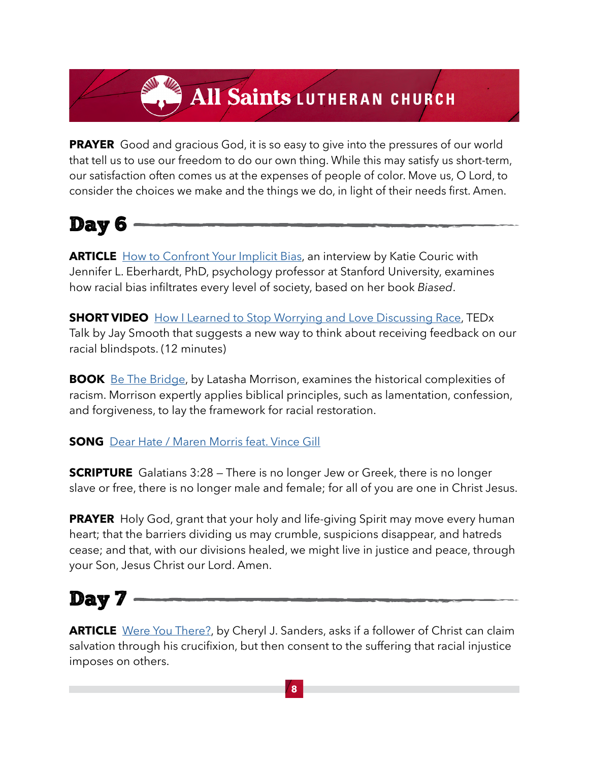**PRAYER** Good and gracious God, it is so easy to give into the pressures of our world that tell us to use our freedom to do our own thing. While this may satisfy us short-term, our satisfaction often comes us at the expenses of people of color. Move us, O Lord, to consider the choices we make and the things we do, in light of their needs first. Amen.



**[ARTICLE](http://ARTICLE  )** [How to Confront Your Implicit Bias,](https://medium.com/wake-up-call/how-to-confront-your-implicit-bias-74a28584b512) an interview by Katie Couric with Jennifer L. Eberhardt, PhD, psychology professor at Stanford University, examines how racial bias infiltrates every level of society, based on her book *Biased*.

**SHORTVIDEO** [How I Learned to Stop Worrying and Love Discussing Race](https://www.youtube.com/watch?v=MbdxeFcQtaU), TEDx Talk by Jay Smooth that suggests a new way to think about receiving feedback on our racial blindspots. (12 minutes)

**BOOK**[Be The Bridge,](https://www.amazon.com/Be-Bridge-Pursuing-Racial-Reconciliation/dp/0525652884/ref=sr_1_1?dchild=1&keywords=be+the+bridge&sr=8-1) by Latasha Morrison, examines the historical complexities of racism. Morrison expertly applies biblical principles, such as lamentation, confession, and forgiveness, to lay the framework for racial restoration.

**SONG**[Dear Hate / Maren Morris feat. Vince Gill](https://www.youtube.com/watch?v=tUPR5-igTVY&list=PLk6n90VAXJUa4uPIAP6xs5zBaxWC6C16D&index=31)

**SCRIPTURE** [G](http://ARTICLE  )alatians 3:28 – There is no longer Jew or Greek, there is no longer slave or free, there is no longer male and female; for all of you are one in Christ Jesus.

**PRAYER** [H](http://ARTICLE  )oly God, grant that your holy and life-giving Spirit may move every human heart; that the barriers dividing us may crumble, suspicions disappear, and hatreds cease; and that, with our divisions healed, we might live in justice and peace, through your Son, Jesus Christ our Lord. Amen.

### Day 7

**[ARTICLE](http://ARTICLE  )** [Were You There?](https://www.christianitytoday.com/ct/2020/october-web-only/were-you-there.html), by Cheryl J. Sanders, asks if a follower of Christ can claim salvation through his crucifixion, but then consent to the suffering that racial injustice imposes on others.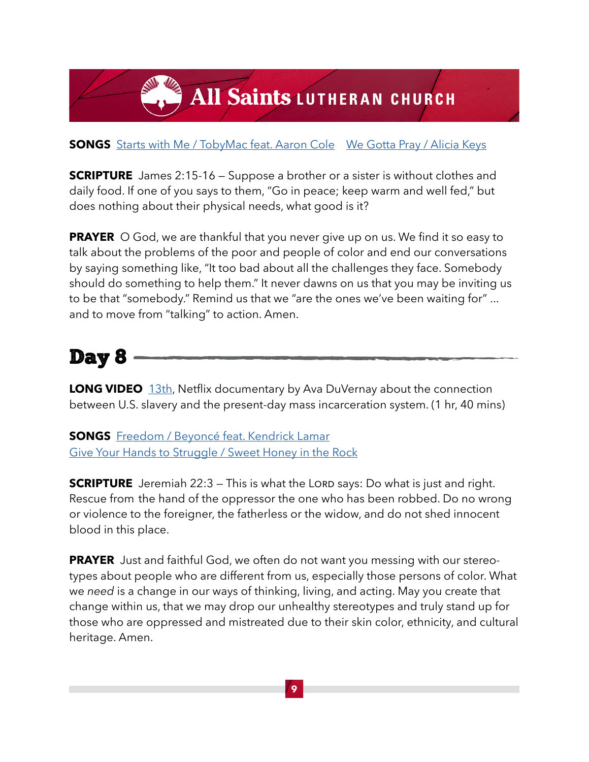#### **SONGS**[Starts with Me / TobyMac](https://www.youtube.com/watch?v=jP8A9Yr5P50) feat. Aaron Cole [We Gotta Pray / Alicia Keys](https://www.youtube.com/watch?v=ReK4t3Pfdpo&list=PLk6n90VAXJUaS-lcEWsgprajm8-tIlCgt&index=1)

**SCRIPTURE** [J](http://ARTICLE  )ames 2:15-16 – Suppose a brother or a sister is without clothes and daily food. If one of you says to them, "Go in peace; keep warm and well fed," but does nothing about their physical needs, what good is it?

**PRAYER** [O](http://ARTICLE  ) God, we are thankful that you never give up on us. We find it so easy to talk about the problems of the poor and people of color and end our conversations by saying something like, "It too bad about all the challenges they face. Somebody should do something to help them." It never dawns on us that you may be inviting us to be that "somebody." Remind us that we "are the ones we've been waiting for" ... and to move from "talking" to action. Amen.

#### Day 8

**LONGVIDEO** [13th](https://www.youtube.com/watch?v=K6IXQbXPO3I), Netflix documentary by Ava DuVernay about the connection between U.S. slavery and the present-day mass incarceration system. (1 hr, 40 mins)

**SONGS**[Freedom / Beyoncé feat. Kendrick Lamar](https://www.youtube.com/watch?v=7FWF9375hUA&feature=emb_title)  [Give Your Hands to Struggle / Sweet Honey in the Rock](https://www.youtube.com/watch?v=LV9Vf0a7YtM)

**SCRIPTURE** [J](http://ARTICLE  )eremiah 22:3 – This is what the LORD says: Do what is just and right. Rescue from the hand of the oppressor the one who has been robbed. Do no wrong or violence to the foreigner, the fatherless or the widow, and do not shed innocent blood in this place.

**PRAYER** [J](http://ARTICLE  )ust and faithful God, we often do not want you messing with our stereotypes about people who are different from us, especially those persons of color. What we *need* is a change in our ways of thinking, living, and acting. May you create that change within us, that we may drop our unhealthy stereotypes and truly stand up for those who are oppressed and mistreated due to their skin color, ethnicity, and cultural heritage. Amen.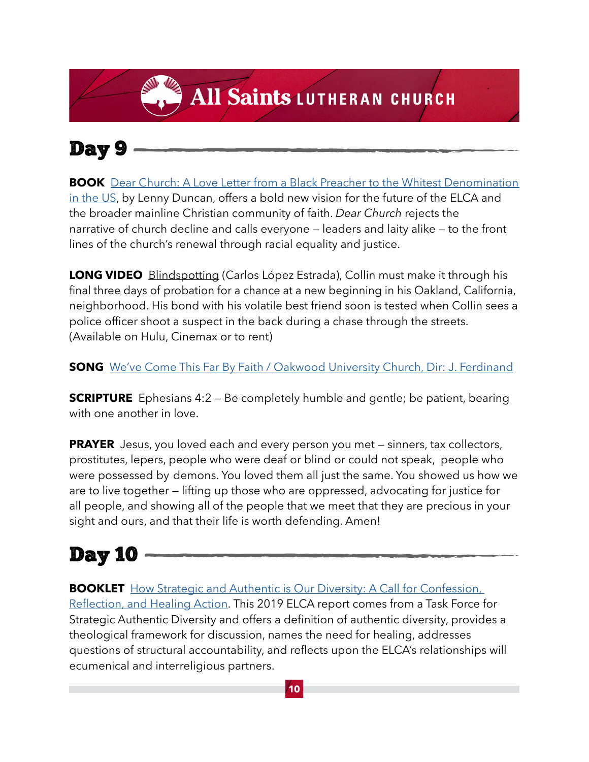#### Day 9

**BOOK**[Dear Church: A Love Letter from a Black Preacher to the Whitest Denomination](https://www.amazon.com/Dear-Church-Preacher-Whitest-Denomination/dp/1506452566/ref=sr_1_2?dchild=1&keywords=dear+church&sr=8-2) [in the US,](https://www.amazon.com/Dear-Church-Preacher-Whitest-Denomination/dp/1506452566/ref=sr_1_2?dchild=1&keywords=dear+church&sr=8-2) by Lenny Duncan, offers a bold new vision for the future of the ELCA and the broader mainline Christian community of faith. *Dear Church* rejects the narrative of church decline and calls everyone — leaders and laity alike — to the front lines of the church's renewal through racial equality and justice.

**LONG VIDEO** Blindspotting (Carlos López Estrada), Collin must make it through his final three days of probation for a chance at a new beginning in his Oakland, California, neighborhood. His bond with his volatile best friend soon is tested when Collin sees a police officer shoot a suspect in the back during a chase through the streets. (Available on Hulu, Cinemax or to rent)

**SONG** [We've Come This Far By Faith / Oakwood University Church, Dir: J. Ferdinand](https://www.youtube.com/watch?v=HmmDJiEmltg)

**SCRIPTURE** [E](http://ARTICLE  )phesians 4:2 – Be completely humble and gentle; be patient, bearing with one another in love.

**PRAYER** [J](http://ARTICLE  )esus, you loved each and every person you met – sinners, tax collectors, prostitutes, lepers, people who were deaf or blind or could not speak, people who were possessed by demons. You loved them all just the same. You showed us how we are to live together — lifting up those who are oppressed, advocating for justice for all people, and showing all of the people that we meet that they are precious in your sight and ours, and that their life is worth defending. Amen!

### Day 10

**BOOKLET**How Strategic and Authentic is Our Diversity: A Call for Confession, [Reflection, and Healing Action](https://download.elca.org/ELCA%20Resource%20Repository/Strategic_Authentic_Diversity.pdf?_ga=2.118887753.1332556957.1604604693-1497437641.1589911670). This 2019 ELCA report comes from a Task Force for Strategic Authentic Diversity and offers a definition of authentic diversity, provides a theological framework for discussion, names the need for healing, addresses questions of structural accountability, and reflects upon the ELCA's relationships will ecumenical and interreligious partners.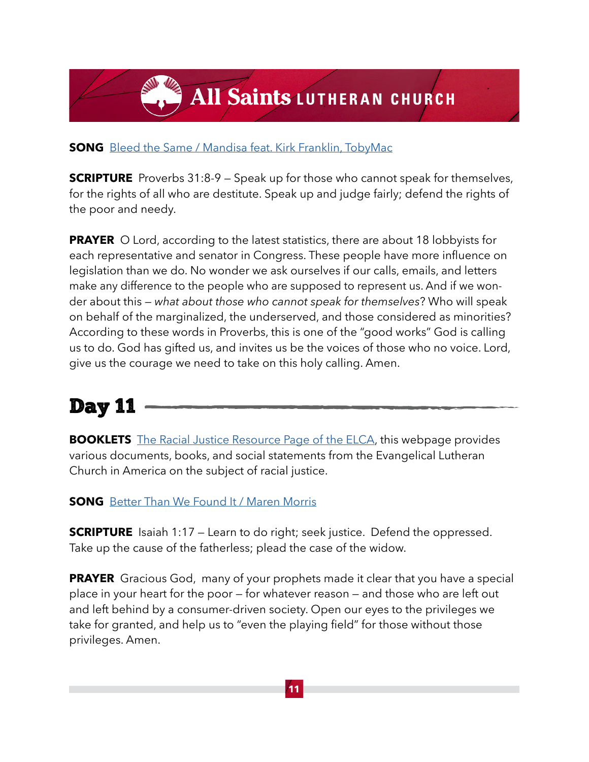#### **SONG** [Bleed the Same / Mandisa feat. Kirk Franklin, TobyMac](https://www.youtube.com/watch?v=HVKuA1s5I3o&feature=emb_logo)

**SCRIPTURE** Proverbs 31:8-9 – Speak up for those who cannot speak for themselves, for the rights of all who are destitute. Speak up and judge fairly; defend the rights of the poor and needy.

**PRAYER** O Lord, according to the latest statistics, there are about 18 lobbyists for each representative and senator in Congress. These people have more influence on legislation than we do. No wonder we ask ourselves if our calls, emails, and letters make any difference to the people who are supposed to represent us. And if we wonder about this — *what about those who cannot speak for themselves*? Who will speak on behalf of the marginalized, the underserved, and those considered as minorities? According to these words in Proverbs, this is one of the "good works" God is calling us to do. God has gifted us, and invites us be the voices of those who no voice. Lord, give us the courage we need to take on this holy calling. Amen.

#### Day 11

**BOOKLETS**[The Racial Justice Resource Page of the ELCA,](https://www.elca.org/Resources/Racial-Justice?_ga=2.47701351.1332556957.1604604693-1497437641.1589911670#Resources) this webpage provides various documents, books, and social statements from the Evangelical Lutheran Church in America on the subject of racial justice.

**SONG** [Better Than We Found It / Maren Morris](https://www.youtube.com/watch?v=U4rr6LewdIU)

**SCRIPTURE** Isaiah 1:17 – Learn to do right; seek justice. Defend the oppressed. Take up the cause of the fatherless; plead the case of the widow.

**PRAYER** Gracious God, many of your prophets made it clear that you have a special place in your heart for the poor — for whatever reason — and those who are left out and left behind by a consumer-driven society. Open our eyes to the privileges we take for granted, and help us to "even the playing field" for those without those privileges. Amen.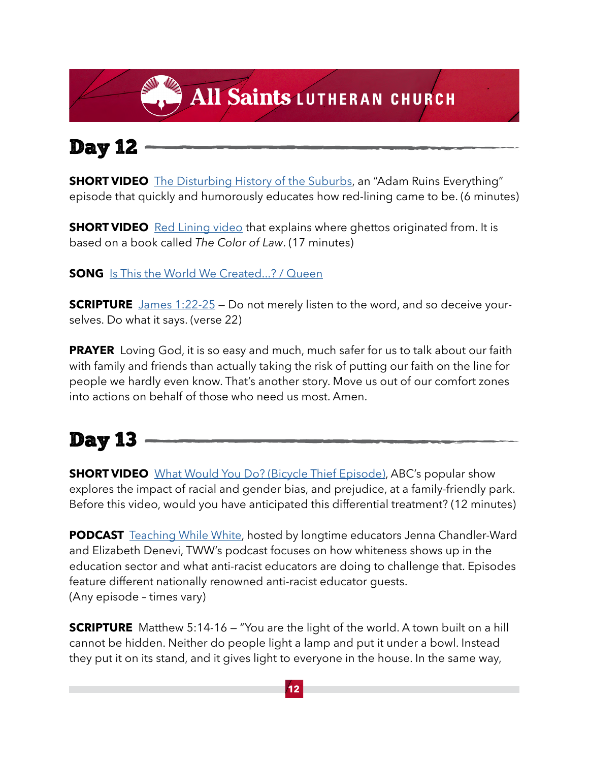### Day 12

**SHORTVIDEO** [The Disturbing History of the Suburbs](https://www.youtube.com/watch?v=ETR9qrVS17g), an "Adam Ruins Everything" episode that quickly and humorously educates how red-lining came to be. (6 minutes)

**SHORTVIDEO** [Red Lining video](https://www.segregatedbydesign.com/) that explains where ghettos originated from. It is based on a book called *The Color of Law*. (17 minutes)

**SONG** [Is This the World We Created...? / Queen](https://www.youtube.com/watch?v=wllXY322K7Q&list=PLk6n90VAXJUa4uPIAP6xs5zBaxWC6C16D&index=49)

**SCRIPTURE** [James 1:22-25](https://www.biblegateway.com/passage/?search=James%201%3A22-25&version=NIV) - Do not merely listen to the word, and so deceive yourselves. Do what it says. (verse 22)

**PRAYER** Loving God, it is so easy and much, much safer for us to talk about our faith with family and friends than actually taking the risk of putting our faith on the line for people we hardly even know. That's another story. Move us out of our comfort zones into actions on behalf of those who need us most. Amen.

### Day 13

**SHORTVIDEO** [What Would You Do? \(Bicycle Thief Episode\),](https://www.youtube.com/watch?v=8ABRlWybBqM) ABC's popular show explores the impact of racial and gender bias, and prejudice, at a family-friendly park. Before this video, would you have anticipated this differential treatment? (12 minutes)

**PODCAST** [Teaching While White](https://www.teachingwhilewhite.org/podcast), hosted by longtime educators Jenna Chandler-Ward and Elizabeth Denevi, TWW's podcast focuses on how whiteness shows up in the education sector and what anti-racist educators are doing to challenge that. Episodes feature different nationally renowned anti-racist educator guests. (Any episode – times vary)

**SCRIPTURE** Matthew 5:14-16 – "You are the light of the world. A town built on a hill cannot be hidden. Neither do people light a lamp and put it under a bowl. Instead they put it on its stand, and it gives light to everyone in the house. In the same way,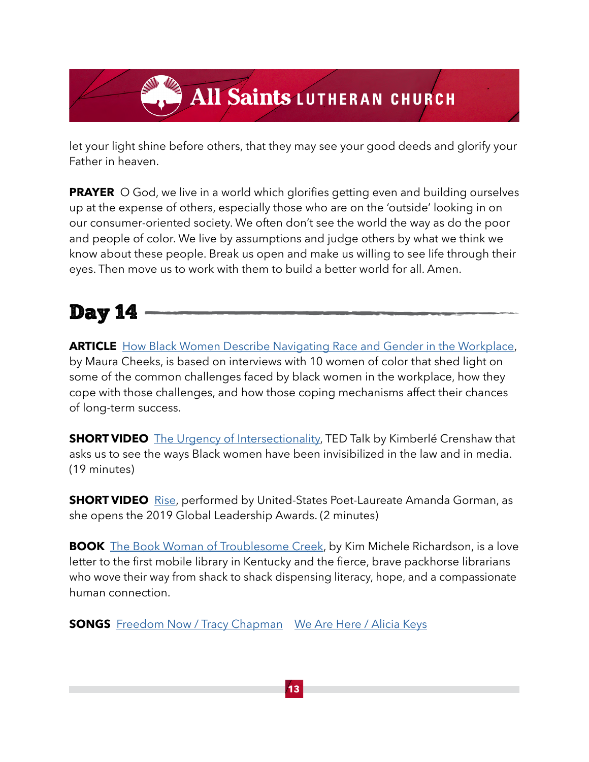let your light shine before others, that they may see your good deeds and glorify your Father in heaven.

**PRAYER** O God, we live in a world which glorifies getting even and building ourselves up at the expense of others, especially those who are on the 'outside' looking in on our consumer-oriented society. We often don't see the world the way as do the poor and people of color. We live by assumptions and judge others by what we think we know about these people. Break us open and make us willing to see life through their eyes. Then move us to work with them to build a better world for all. Amen.

#### Day 14

**ARTICLE** [How Black Women Describe Navigating Race and Gender in the Workplace,](https://hbr.org/2018/03/how-black-women-describe-navigating-race-and-gender-in-the-workplace) by Maura Cheeks, is based on interviews with 10 women of color that shed light on some of the common challenges faced by black women in the workplace, how they cope with those challenges, and how those coping mechanisms affect their chances of long-term success.

**SHORTVIDEO** [The Urgency of Intersectionality,](https://www.ted.com/talks/kimberle_crenshaw_the_urgency_of_intersectionality#t-1117454) TED Talk by Kimberlé Crenshaw that asks us to see the ways Black women have been invisibilized in the law and in media. (19 minutes)

**SHORT VIDEO** [Rise,](https://www.youtube.com/watch?v=gdBT9JBV09k) performed by United-States Poet-Laureate Amanda Gorman, as she opens the 2019 Global Leadership Awards. (2 minutes)

**BOOK** [The Book Woman of Troublesome Creek](https://www.amazon.com/Book-Woman-Troublesome-Creek-Novel/dp/1492671525/ref=sr_1_1?dchild=1&keywords=woman+of+troublesome+creek&qid=1607352818&sr=8-1), by Kim Michele Richardson, is a love letter to the first mobile library in Kentucky and the fierce, brave packhorse librarians who wove their way from shack to shack dispensing literacy, hope, and a compassionate human connection.

**SONGS** [Freedom Now / Tracy Chapman](https://www.youtube.com/watch?v=5FhODUVFG3M&list=PLk6n90VAXJUa4uPIAP6xs5zBaxWC6C16D&index=56)[We Are Here / Alicia Keys](https://www.youtube.com/watch?v=Pkb5_xMYN5M)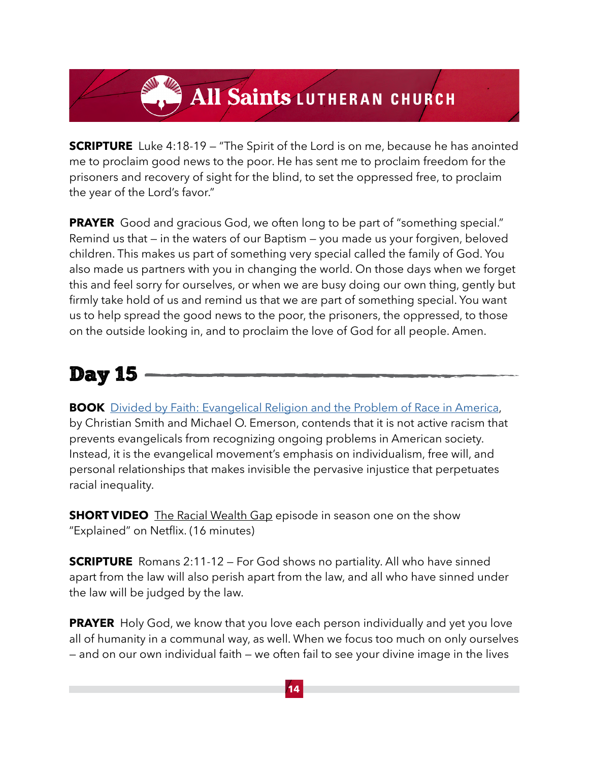**SCRIPTURE** Luke 4:18-19 – "The Spirit of the Lord is on me, because he has anointed me to proclaim good news to the poor. He has sent me to proclaim freedom for the prisoners and recovery of sight for the blind, to set the oppressed free, to proclaim the year of the Lord's favor."

**PRAYER** Good and gracious God, we often long to be part of "something special." Remind us that — in the waters of our Baptism — you made us your forgiven, beloved children. This makes us part of something very special called the family of God. You also made us partners with you in changing the world. On those days when we forget this and feel sorry for ourselves, or when we are busy doing our own thing, gently but firmly take hold of us and remind us that we are part of something special. You want us to help spread the good news to the poor, the prisoners, the oppressed, to those on the outside looking in, and to proclaim the love of God for all people. Amen.

### Day 15

**BOOK** [Divided by Faith: Evangelical Religion and the Problem of Race in America,](https://www.amazon.com/dp/B000SHYQZU/ref=dp-kindle-redirect?_encoding=UTF8&btkr=1) by Christian Smith and Michael O. Emerson, contends that it is not active racism that prevents evangelicals from recognizing ongoing problems in American society. Instead, it is the evangelical movement's emphasis on individualism, free will, and personal relationships that makes invisible the pervasive injustice that perpetuates racial inequality.

**SHORT VIDEO** The Racial Wealth Gap episode in season one on the show "Explained" on Netflix. (16 minutes)

**SCRIPTURE** Romans 2:11-12 – For God shows no partiality. All who have sinned apart from the law will also perish apart from the law, and all who have sinned under the law will be judged by the law.

**PRAYER** Holy God, we know that you love each person individually and yet you love all of humanity in a communal way, as well. When we focus too much on only ourselves — and on our own individual faith — we often fail to see your divine image in the lives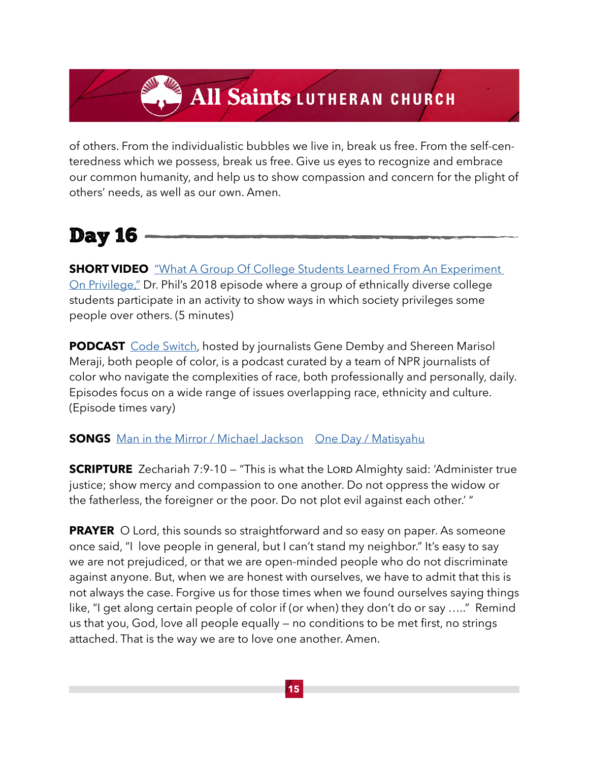of others. From the individualistic bubbles we live in, break us free. From the self-centeredness which we possess, break us free. Give us eyes to recognize and embrace our common humanity, and help us to show compassion and concern for the plight of others' needs, as well as our own. Amen.

#### Day 16

**SHORT VIDEO** "What A Group Of College Students Learned From An Experiment [On Privilege,"](https://www.youtube.com/watch?v=Y3QmO5djqgY) Dr. Phil's 2018 episode where a group of ethnically diverse college students participate in an activity to show ways in which society privileges some people over others. (5 minutes)

**PODCAST** [Code Switch,](https://www.npr.org/podcasts/510312/codeswitch) hosted by journalists Gene Demby and Shereen Marisol Meraji, both people of color, is a podcast curated by a team of NPR journalists of color who navigate the complexities of race, both professionally and personally, daily. Episodes focus on a wide range of issues overlapping race, ethnicity and culture. (Episode times vary)

#### **SONGS** [Man in the Mirror / Michael Jackson](https://www.youtube.com/watch?v=PivWY9wn5ps&list=PLk6n90VAXJUa4uPIAP6xs5zBaxWC6C16D&index=36) [One Day / Matisyahu](https://www.youtube.com/watch?v=WRmBChQjZPs&list=PLk6n90VAXJUa4uPIAP6xs5zBaxWC6C16D&index=32)

**SCRIPTURE** Zechariah 7:9-10 – "This is what the LORD Almighty said: 'Administer true justice; show mercy and compassion to one another. Do not oppress the widow or the fatherless, the foreigner or the poor. Do not plot evil against each other.' "

**PRAYER** O Lord, this sounds so straightforward and so easy on paper. As someone once said, "I love people in general, but I can't stand my neighbor." It's easy to say we are not prejudiced, or that we are open-minded people who do not discriminate against anyone. But, when we are honest with ourselves, we have to admit that this is not always the case. Forgive us for those times when we found ourselves saying things like, "I get along certain people of color if (or when) they don't do or say ….." Remind us that you, God, love all people equally — no conditions to be met first, no strings attached. That is the way we are to love one another. Amen.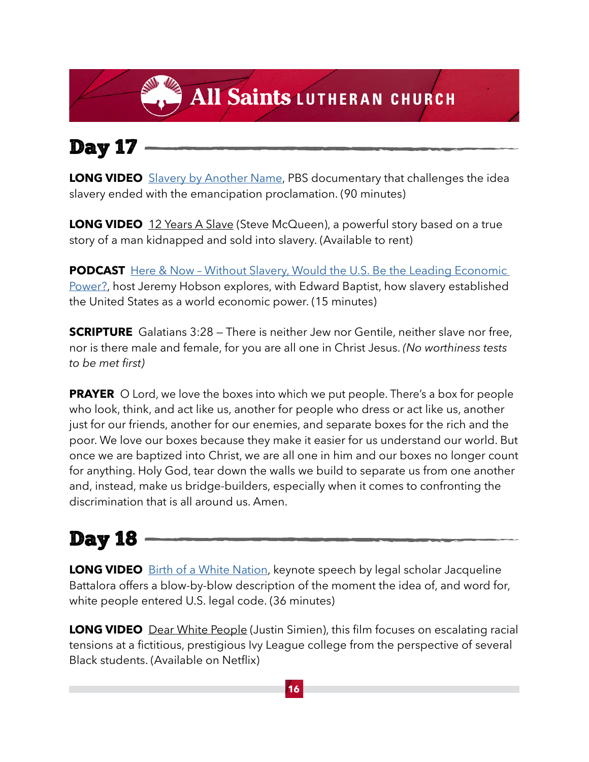### Day 17

**LONG VIDEO** [Slavery by Another Name,](http://www.pbs.org/tpt/slavery-by-another-name/home/) PBS documentary that challenges the idea slavery ended with the emancipation proclamation. (90 minutes)

**LONG VIDEO** 12 Years A Slave (Steve McQueen), a powerful story based on a true story of a man kidnapped and sold into slavery. (Available to rent)

**PODCAST** Here & Now - Without Slavery, Would the U.S. Be the Leading Economic [Power?](https://www.wbur.org/hereandnow/2014/11/19/slavery-economy-baptist), host Jeremy Hobson explores, with Edward Baptist, how slavery established the United States as a world economic power. (15 minutes)

**SCRIPTURE** Galatians 3:28 – There is neither Jew nor Gentile, neither slave nor free, nor is there male and female, for you are all one in Christ Jesus. *(No worthiness tests to be met first)*

**PRAYER** O Lord, we love the boxes into which we put people. There's a box for people who look, think, and act like us, another for people who dress or act like us, another just for our friends, another for our enemies, and separate boxes for the rich and the poor. We love our boxes because they make it easier for us understand our world. But once we are baptized into Christ, we are all one in him and our boxes no longer count for anything. Holy God, tear down the walls we build to separate us from one another and, instead, make us bridge-builders, especially when it comes to confronting the discrimination that is all around us. Amen.

### Day 18

**LONG VIDEO** [Birth of a White Nation](https://www.youtube.com/watch?v=riVAuC0dnP4), keynote speech by legal scholar Jacqueline Battalora offers a blow-by-blow description of the moment the idea of, and word for, white people entered U.S. legal code. (36 minutes)

**LONG VIDEO** Dear White People (Justin Simien), this film focuses on escalating racial tensions at a fictitious, prestigious Ivy League college from the perspective of several Black students. (Available on Netflix)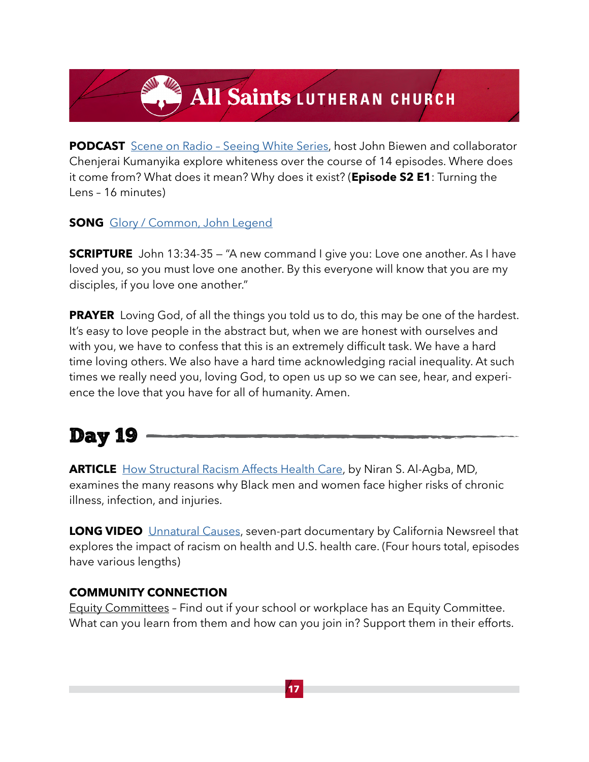**PODCAST** Scene on Radio - Seeing White Series, host John Biewen and collaborator Chenjerai Kumanyika explore whiteness over the course of 14 episodes. Where does it come from? What does it mean? Why does it exist? (**Episode S2 E1**: Turning the Lens – 16 minutes)

**SONG** [Glory / Common, John Legend](https://www.youtube.com/watch?v=HUZOKvYcx_o&list=PLk6n90VAXJUaS-lcEWsgprajm8-tIlCgt&index=16)

**SCRIPTURE** John 13:34-35 – "A new command I give you: Love one another. As I have loved you, so you must love one another. By this everyone will know that you are my disciples, if you love one another."

**PRAYER** Loving God, of all the things you told us to do, this may be one of the hardest. It's easy to love people in the abstract but, when we are honest with ourselves and with you, we have to confess that this is an extremely difficult task. We have a hard time loving others. We also have a hard time acknowledging racial inequality. At such times we really need you, loving God, to open us up so we can see, hear, and experience the love that you have for all of humanity. Amen.

#### Day 19

**ARTICLE** [How Structural Racism Affects Health Care](https://www.medpagetoday.com/blogs/kevinmd/84362), by Niran S. Al-Agba, MD, examines the many reasons why Black men and women face higher risks of chronic illness, infection, and injuries.

**LONG VIDEO** [Unnatural Causes,](https://unnaturalcauses.org/about_the_series.php) seven-part documentary by California Newsreel that explores the impact of racism on health and U.S. health care. (Four hours total, episodes have various lengths)

#### **COMMUNITY CONNECTION**

Equity Committees – Find out if your school or workplace has an Equity Committee. What can you learn from them and how can you join in? Support them in their efforts.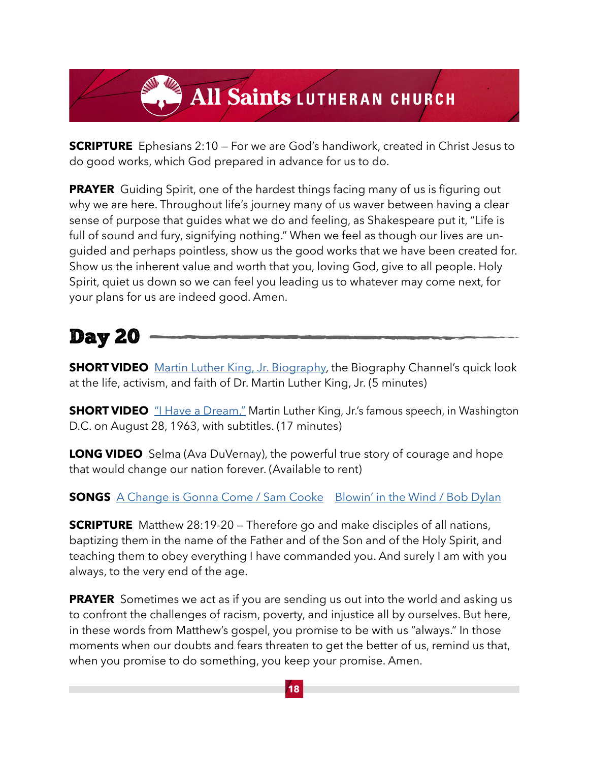**SCRIPTURE** Ephesians 2:10 – For we are God's handiwork, created in Christ Jesus to do good works, which God prepared in advance for us to do.

**PRAYER** Guiding Spirit, one of the hardest things facing many of us is figuring out why we are here. Throughout life's journey many of us waver between having a clear sense of purpose that guides what we do and feeling, as Shakespeare put it, "Life is full of sound and fury, signifying nothing." When we feel as though our lives are unguided and perhaps pointless, show us the good works that we have been created for. Show us the inherent value and worth that you, loving God, give to all people. Holy Spirit, quiet us down so we can feel you leading us to whatever may come next, for your plans for us are indeed good. Amen.

#### Day 20

**SHORT VIDEO** [Martin Luther King, Jr. Biography](https://www.youtube.com/watch?v=3ank52Zi_S0), the Biography Channel's quick look at the life, activism, and faith of Dr. Martin Luther King, Jr. (5 minutes)

**SHORT VIDEO** ["I Have a Dream,"](https://www.youtube.com/watch?v=_yOBncaiito) Martin Luther King, Jr.'s famous speech, in Washington D.C. on August 28, 1963, with subtitles. (17 minutes)

**LONG VIDEO** Selma (Ava DuVernay), the powerful true story of courage and hope that would change our nation forever. (Available to rent)

#### **SONGS** [A Change is Gonna Come / Sam Cooke](https://www.youtube.com/watch?v=wEBlaMOmKV4&list=PLk6n90VAXJUaS-lcEWsgprajm8-tIlCgt&index=43) [Blowin' in the Wind / Bob Dylan](https://www.youtube.com/watch?v=MMFj8uDubsE&list=PLk6n90VAXJUa4uPIAP6xs5zBaxWC6C16D&index=8)

**SCRIPTURE** Matthew 28:19-20 – Therefore go and make disciples of all nations, baptizing them in the name of the Father and of the Son and of the Holy Spirit, and teaching them to obey everything I have commanded you. And surely I am with you always, to the very end of the age.

**PRAYER** Sometimes we act as if you are sending us out into the world and asking us to confront the challenges of racism, poverty, and injustice all by ourselves. But here, in these words from Matthew's gospel, you promise to be with us "always." In those moments when our doubts and fears threaten to get the better of us, remind us that, when you promise to do something, you keep your promise. Amen.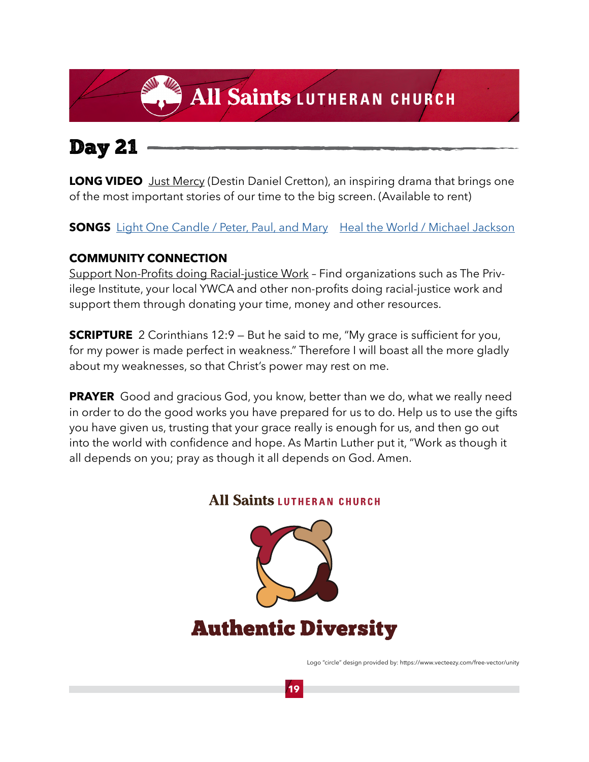#### Day 21

**LONG VIDEO** Just Mercy (Destin Daniel Cretton), an inspiring drama that brings one of the most important stories of our time to the big screen. (Available to rent)

**SONGS** [Light One Candle / Peter, Paul, and Mary](https://www.youtube.com/watch?v=Ez1uoXFbPjA&list=PLk6n90VAXJUa4uPIAP6xs5zBaxWC6C16D&index=46) [Heal the World / Michael Jackson](https://www.youtube.com/watch?v=BWf-eARnf6U)

#### **COMMUNITY CONNECTION**

Support Non-Profits doing Racial-justice Work – Find organizations such as The Privilege Institute, your local YWCA and other non-profits doing racial-justice work and support them through donating your time, money and other resources.

**SCRIPTURE** 2 Corinthians 12:9 – But he said to me, "My grace is sufficient for you, for my power is made perfect in weakness." Therefore I will boast all the more gladly about my weaknesses, so that Christ's power may rest on me.

**PRAYER** Good and gracious God, you know, better than we do, what we really need in order to do the good works you have prepared for us to do. Help us to use the gifts you have given us, trusting that your grace really is enough for us, and then go out into the world with confidence and hope. As Martin Luther put it, "Work as though it all depends on you; pray as though it all depends on God. Amen.

#### **All Saints LUTHERAN CHURCH**



Logo "circle" design provided by: https://www.vecteezy.com/free-vector/unity